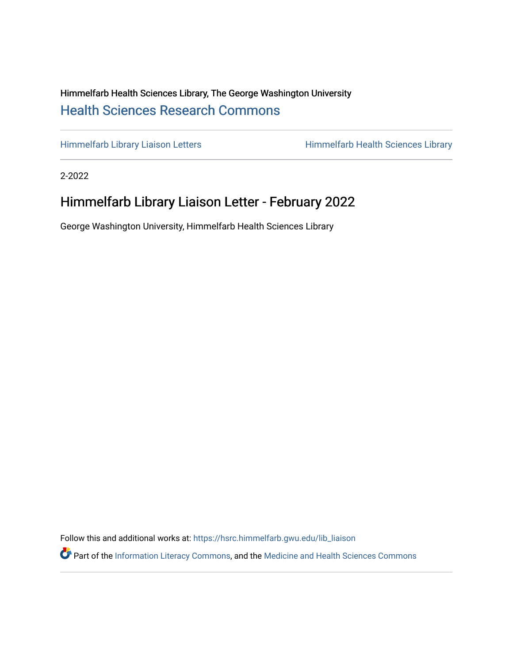## Himmelfarb Health Sciences Library, The George Washington University [Health Sciences Research Commons](https://hsrc.himmelfarb.gwu.edu/)

[Himmelfarb Library Liaison Letters](https://hsrc.himmelfarb.gwu.edu/lib_liaison) Himmelfarb Health Sciences Library

2-2022

# Himmelfarb Library Liaison Letter - February 2022

George Washington University, Himmelfarb Health Sciences Library

Follow this and additional works at: [https://hsrc.himmelfarb.gwu.edu/lib\\_liaison](https://hsrc.himmelfarb.gwu.edu/lib_liaison?utm_source=hsrc.himmelfarb.gwu.edu%2Flib_liaison%2F91&utm_medium=PDF&utm_campaign=PDFCoverPages) 

Part of the [Information Literacy Commons](http://network.bepress.com/hgg/discipline/1243?utm_source=hsrc.himmelfarb.gwu.edu%2Flib_liaison%2F91&utm_medium=PDF&utm_campaign=PDFCoverPages), and the Medicine and Health Sciences Commons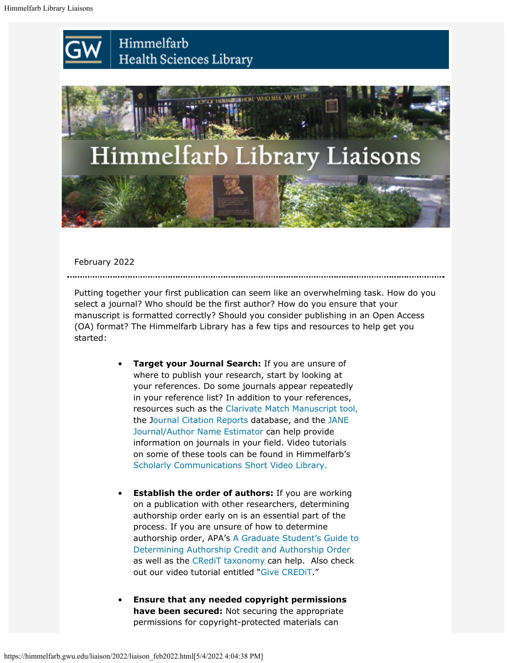



February 2022

Putting together your first publication can seem like an overwhelming task. How do you select a journal? Who should be the first author? How do you ensure that your manuscript is formatted correctly? Should you consider publishing in an Open Access (OA) format? The Himmelfarb Library has a few tips and resources to help get you started:

- **Target your Journal Search:** If you are unsure of where to publish your research, start by looking at your references. Do some journals appear repeatedly in your reference list? In addition to your references, resources such as the [Clarivate Match Manuscript tool,](https://mjl.clarivate.com/home) the J[ournal Citation Reports](https://jcr.clarivate.com/jcr/home) database, and the [JANE](https://jane.biosemantics.org/) [Journal/Author Name Estimator](https://jane.biosemantics.org/) can help provide information on journals in your field. Video tutorials on some of these tools can be found in Himmelfarb's [Scholarly Communications Short Video Library.](https://guides.himmelfarb.gwu.edu/scholarlypub/video)
- **Establish the order of authors:** If you are working on a publication with other researchers, determining authorship order early on is an essential part of the process. If you are unsure of how to determine authorship order, APA's [A Graduate Student's Guide to](https://www.apa.org/science/leadership/students/authorship-paper.pdf) [Determining Authorship Credit and Authorship Order](https://www.apa.org/science/leadership/students/authorship-paper.pdf) as well as the [CRediT taxonomy](https://credit.niso.org/) can help. Also check out our video tutorial entitled ["Give CREDiT](https://www.youtube.com/watch?v=uA0n0Q9MuuY)."
- **Ensure that any needed copyright permissions have been secured:** Not securing the appropriate permissions for copyright-protected materials can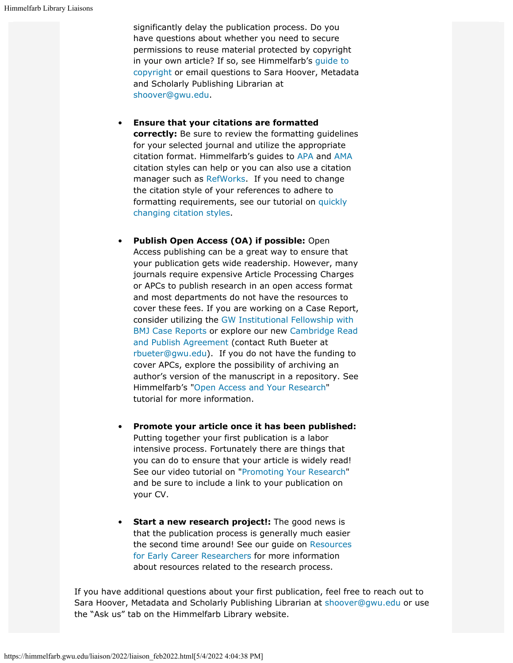significantly delay the publication process. Do you have questions about whether you need to secure permissions to reuse material protected by copyright in your own article? If so, see Himmelfarb's [guide to](https://guides.himmelfarb.gwu.edu/copyright) [copyright](https://guides.himmelfarb.gwu.edu/copyright) or email questions to Sara Hoover, Metadata and Scholarly Publishing Librarian at [shoover@gwu.edu](mailto:shoover@gwu.edu).

- **Ensure that your citations are formatted correctly:** Be sure to review the formatting guidelines for your selected journal and utilize the appropriate citation format. Himmelfarb's guides to [APA](https://guides.himmelfarb.gwu.edu/APA) and [AMA](https://guides.himmelfarb.gwu.edu/AMA) citation styles can help or you can also use a citation manager such as [RefWorks.](https://guides.himmelfarb.gwu.edu/newrefworks) If you need to change the citation style of your references to adhere to formatting requirements, see our tutorial on [quickly](https://www.youtube.com/watch?v=l70tNiVmsPQ) [changing citation styles](https://www.youtube.com/watch?v=l70tNiVmsPQ).
- **Publish Open Access (OA) if possible:** Open Access publishing can be a great way to ensure that your publication gets wide readership. However, many journals require expensive Article Processing Charges or APCs to publish research in an open access format and most departments do not have the resources to cover these fees. If you are working on a Case Report, consider utilizing the [GW Institutional Fellowship with](https://guides.himmelfarb.gwu.edu/casereports) [BMJ Case Reports](https://guides.himmelfarb.gwu.edu/casereports) or explore our new [Cambridge Read](https://www.cambridge.org/core/services/open-access-policies/read-and-publish-agreements) [and Publish Agreement](https://www.cambridge.org/core/services/open-access-policies/read-and-publish-agreements) (contact Ruth Bueter at [rbueter@gwu.edu](mailto: rbueter@gwu.edu)). If you do not have the funding to cover APCs, explore the possibility of archiving an author's version of the manuscript in a repository. See Himmelfarb's ["Open Access and Your Research](https://www.youtube.com/watch?v=6SpLN7BbzGg)" tutorial for more information.
- **Promote your article once it has been published:** Putting together your first publication is a labor intensive process. Fortunately there are things that you can do to ensure that your article is widely read! See our video tutorial on ["Promoting Your Research](https://www.youtube.com/watch?v=a0vUbUbbXaM)" and be sure to include a link to your publication on your CV.
- **Start a new research project!:** The good news is that the publication process is generally much easier the second time around! See our guide on [Resources](https://guides.himmelfarb.gwu.edu/EarlyCareerResearchers/GettingStarted) [for Early Career Researchers](https://guides.himmelfarb.gwu.edu/EarlyCareerResearchers/GettingStarted) for more information about resources related to the research process.

If you have additional questions about your first publication, feel free to reach out to Sara Hoover, Metadata and Scholarly Publishing Librarian at [shoover@gwu.edu](mailto:shoover@gwu.edu) or use the "Ask us" tab on the Himmelfarb Library website.